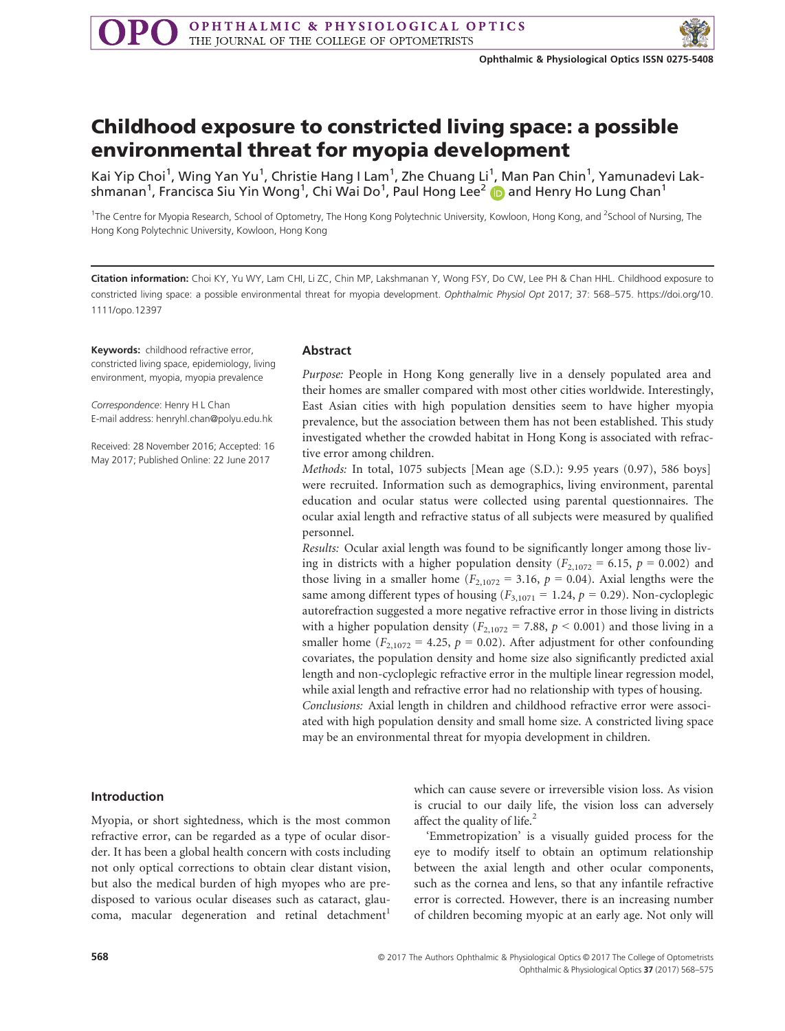

# Childhood exposure to constricted living space: a possible environmental threat for myopia development

Kai Yip Choi<sup>1</sup>, Wing Yan Yu<sup>1</sup>, Christie Hang I Lam<sup>1</sup>, Zhe Chuang Li<sup>1</sup>, Man Pan Chin<sup>1</sup>, Yamunadevi Lakshmanan $^1$ , Francisca Siu Yin Wong $^1$ , Chi Wai Do $^1$ , Paul Hong Lee $^2$  (D and Henry Ho Lung Chan $^1$ 

<sup>1</sup>The Centre for Myopia Research, School of Optometry, The Hong Kong Polytechnic University, Kowloon, Hong Kong, and <sup>2</sup>School of Nursing, The Hong Kong Polytechnic University, Kowloon, Hong Kong

Citation information: Choi KY, Yu WY, Lam CHI, Li ZC, Chin MP, Lakshmanan Y, Wong FSY, Do CW, Lee PH & Chan HHL. Childhood exposure to constricted living space: a possible environmental threat for myopia development. Ophthalmic Physiol Opt 2017; 37: 568–575. [https://doi.org/10.](https://doi.org/10.1111/opo.12397) [1111/opo.12397](https://doi.org/10.1111/opo.12397)

Keywords: childhood refractive error, constricted living space, epidemiology, living environment, myopia, myopia prevalence

Correspondence: Henry H L Chan E-mail address: henryhl.chan@polyu.edu.hk

Received: 28 November 2016; Accepted: 16 May 2017; Published Online: 22 June 2017

## Abstract

Purpose: People in Hong Kong generally live in a densely populated area and their homes are smaller compared with most other cities worldwide. Interestingly, East Asian cities with high population densities seem to have higher myopia prevalence, but the association between them has not been established. This study investigated whether the crowded habitat in Hong Kong is associated with refractive error among children.

Methods: In total, 1075 subjects [Mean age (S.D.): 9.95 years (0.97), 586 boys] were recruited. Information such as demographics, living environment, parental education and ocular status were collected using parental questionnaires. The ocular axial length and refractive status of all subjects were measured by qualified personnel.

Results: Ocular axial length was found to be significantly longer among those living in districts with a higher population density ( $F_{2,1072} = 6.15$ ,  $p = 0.002$ ) and those living in a smaller home ( $F_{2,1072} = 3.16$ ,  $p = 0.04$ ). Axial lengths were the same among different types of housing ( $F_{3,1071} = 1.24$ ,  $p = 0.29$ ). Non-cycloplegic autorefraction suggested a more negative refractive error in those living in districts with a higher population density ( $F_{2,1072}$  = 7.88,  $p$  < 0.001) and those living in a smaller home ( $F_{2,1072} = 4.25$ ,  $p = 0.02$ ). After adjustment for other confounding covariates, the population density and home size also significantly predicted axial length and non-cycloplegic refractive error in the multiple linear regression model, while axial length and refractive error had no relationship with types of housing. Conclusions: Axial length in children and childhood refractive error were associated with high population density and small home size. A constricted living space may be an environmental threat for myopia development in children.

### Introduction

Myopia, or short sightedness, which is the most common refractive error, can be regarded as a type of ocular disorder. It has been a global health concern with costs including not only optical corrections to obtain clear distant vision, but also the medical burden of high myopes who are predisposed to various ocular diseases such as cataract, glaucoma, macular degeneration and retinal detachment<sup>1</sup>

which can cause severe or irreversible vision loss. As vision is crucial to our daily life, the vision loss can adversely affect the quality of life. $<sup>2</sup>$ </sup>

'Emmetropization' is a visually guided process for the eye to modify itself to obtain an optimum relationship between the axial length and other ocular components, such as the cornea and lens, so that any infantile refractive error is corrected. However, there is an increasing number of children becoming myopic at an early age. Not only will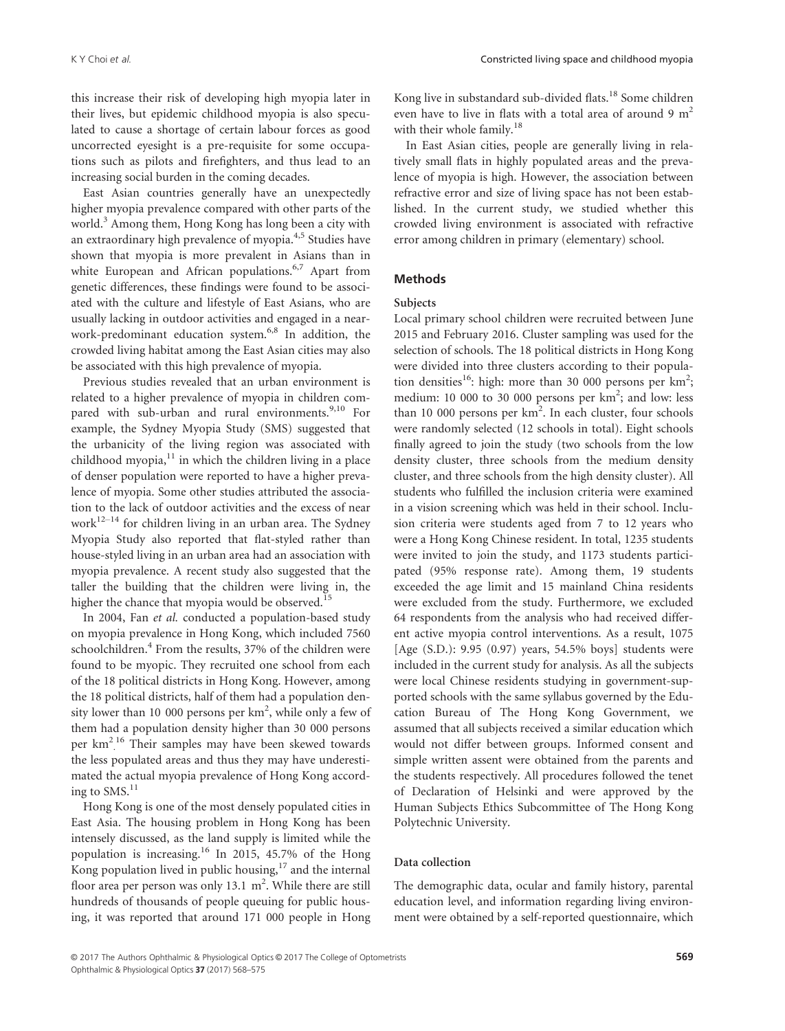this increase their risk of developing high myopia later in their lives, but epidemic childhood myopia is also speculated to cause a shortage of certain labour forces as good uncorrected eyesight is a pre-requisite for some occupations such as pilots and firefighters, and thus lead to an increasing social burden in the coming decades.

East Asian countries generally have an unexpectedly higher myopia prevalence compared with other parts of the world.<sup>3</sup> Among them, Hong Kong has long been a city with an extraordinary high prevalence of myopia.4,5 Studies have shown that myopia is more prevalent in Asians than in white European and African populations.<sup>6,7</sup> Apart from genetic differences, these findings were found to be associated with the culture and lifestyle of East Asians, who are usually lacking in outdoor activities and engaged in a nearwork-predominant education system.<sup>6,8</sup> In addition, the crowded living habitat among the East Asian cities may also be associated with this high prevalence of myopia.

Previous studies revealed that an urban environment is related to a higher prevalence of myopia in children compared with sub-urban and rural environments.<sup>9,10</sup> For example, the Sydney Myopia Study (SMS) suggested that the urbanicity of the living region was associated with childhood myopia, $11$  in which the children living in a place of denser population were reported to have a higher prevalence of myopia. Some other studies attributed the association to the lack of outdoor activities and the excess of near work $12-14$  for children living in an urban area. The Sydney Myopia Study also reported that flat-styled rather than house-styled living in an urban area had an association with myopia prevalence. A recent study also suggested that the taller the building that the children were living in, the higher the chance that myopia would be observed.<sup>15</sup>

In 2004, Fan et al. conducted a population-based study on myopia prevalence in Hong Kong, which included 7560 schoolchildren. $4$  From the results, 37% of the children were found to be myopic. They recruited one school from each of the 18 political districts in Hong Kong. However, among the 18 political districts, half of them had a population density lower than 10 000 persons per km<sup>2</sup>, while only a few of them had a population density higher than 30 000 persons per km<sup>2</sup>.<sup>16</sup> Their samples may have been skewed towards the less populated areas and thus they may have underestimated the actual myopia prevalence of Hong Kong according to  $SMS$ <sup>11</sup>

Hong Kong is one of the most densely populated cities in East Asia. The housing problem in Hong Kong has been intensely discussed, as the land supply is limited while the population is increasing.<sup>16</sup> In 2015, 45.7% of the Hong Kong population lived in public housing, $17$  and the internal floor area per person was only 13.1  $m^2$ . While there are still hundreds of thousands of people queuing for public housing, it was reported that around 171 000 people in Hong

Kong live in substandard sub-divided flats.<sup>18</sup> Some children even have to live in flats with a total area of around 9  $m<sup>2</sup>$ with their whole family.<sup>18</sup>

In East Asian cities, people are generally living in relatively small flats in highly populated areas and the prevalence of myopia is high. However, the association between refractive error and size of living space has not been established. In the current study, we studied whether this crowded living environment is associated with refractive error among children in primary (elementary) school.

## Methods

Local primary school children were recruited between June 2015 and February 2016. Cluster sampling was used for the selection of schools. The 18 political districts in Hong Kong were divided into three clusters according to their population densities<sup>16</sup>: high: more than 30 000 persons per  $km^2$ ; medium: 10 000 to 30 000 persons per  $km^2$ ; and low: less than 10 000 persons per km<sup>2</sup>. In each cluster, four schools were randomly selected (12 schools in total). Eight schools finally agreed to join the study (two schools from the low density cluster, three schools from the medium density cluster, and three schools from the high density cluster). All students who fulfilled the inclusion criteria were examined in a vision screening which was held in their school. Inclusion criteria were students aged from 7 to 12 years who were a Hong Kong Chinese resident. In total, 1235 students were invited to join the study, and 1173 students participated (95% response rate). Among them, 19 students exceeded the age limit and 15 mainland China residents were excluded from the study. Furthermore, we excluded 64 respondents from the analysis who had received different active myopia control interventions. As a result, 1075 [Age (S.D.): 9.95 (0.97) years, 54.5% boys] students were included in the current study for analysis. As all the subjects were local Chinese residents studying in government-supported schools with the same syllabus governed by the Education Bureau of The Hong Kong Government, we assumed that all subjects received a similar education which would not differ between groups. Informed consent and simple written assent were obtained from the parents and the students respectively. All procedures followed the tenet of Declaration of Helsinki and were approved by the Human Subjects Ethics Subcommittee of The Hong Kong Polytechnic University.

### Data collection

The demographic data, ocular and family history, parental education level, and information regarding living environment were obtained by a self-reported questionnaire, which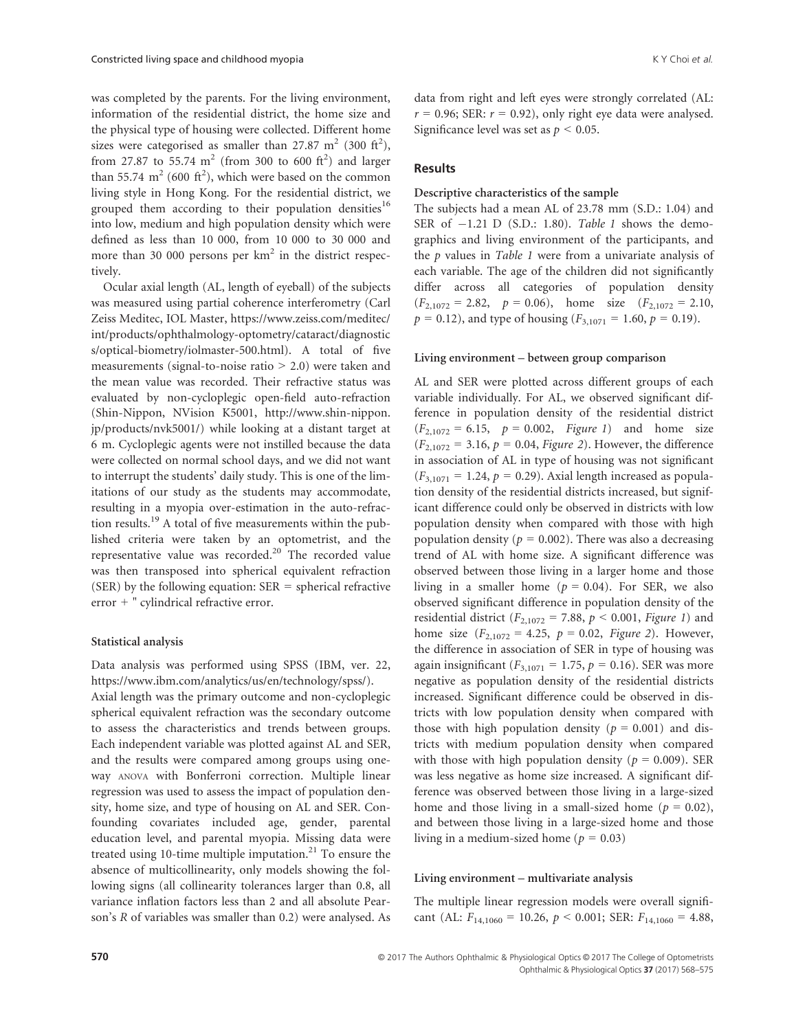was completed by the parents. For the living environment, information of the residential district, the home size and the physical type of housing were collected. Different home sizes were categorised as smaller than 27.87 m<sup>2</sup> (300 ft<sup>2</sup>), from 27.87 to 55.74  $m^2$  (from 300 to 600 ft<sup>2</sup>) and larger than 55.74  $m^2$  (600 ft<sup>2</sup>), which were based on the common living style in Hong Kong. For the residential district, we grouped them according to their population densities<sup>16</sup> into low, medium and high population density which were defined as less than 10 000, from 10 000 to 30 000 and more than 30 000 persons per  $km<sup>2</sup>$  in the district respectively.

Ocular axial length (AL, length of eyeball) of the subjects was measured using partial coherence interferometry (Carl Zeiss Meditec, IOL Master, [https://www.zeiss.com/meditec/](https://www.zeiss.com/meditec/int/products/ophthalmology-optometry/cataract/diagnostics/optical-biometry/iolmaster-500.html) [int/products/ophthalmology-optometry/cataract/diagnostic](https://www.zeiss.com/meditec/int/products/ophthalmology-optometry/cataract/diagnostics/optical-biometry/iolmaster-500.html) [s/optical-biometry/iolmaster-500.html\)](https://www.zeiss.com/meditec/int/products/ophthalmology-optometry/cataract/diagnostics/optical-biometry/iolmaster-500.html). A total of five measurements (signal-to-noise ratio > 2.0) were taken and the mean value was recorded. Their refractive status was evaluated by non-cycloplegic open-field auto-refraction (Shin-Nippon, NVision K5001, [http://www.shin-nippon.](http://www.shin-nippon.jp/products/nvk5001/) [jp/products/nvk5001/\)](http://www.shin-nippon.jp/products/nvk5001/) while looking at a distant target at 6 m. Cycloplegic agents were not instilled because the data were collected on normal school days, and we did not want to interrupt the students' daily study. This is one of the limitations of our study as the students may accommodate, resulting in a myopia over-estimation in the auto-refraction results.19 A total of five measurements within the published criteria were taken by an optometrist, and the representative value was recorded.<sup>20</sup> The recorded value was then transposed into spherical equivalent refraction (SER) by the following equation:  $SER = spherical refractive$ error + " cylindrical refractive error.

# Statistical analysis

Data analysis was performed using SPSS (IBM, ver. 22, [https://www.ibm.com/analytics/us/en/technology/spss/\)](https://www.ibm.com/analytics/us/en/technology/spss/). Axial length was the primary outcome and non-cycloplegic spherical equivalent refraction was the secondary outcome to assess the characteristics and trends between groups. Each independent variable was plotted against AL and SER, and the results were compared among groups using oneway ANOVA with Bonferroni correction. Multiple linear regression was used to assess the impact of population density, home size, and type of housing on AL and SER. Confounding covariates included age, gender, parental education level, and parental myopia. Missing data were treated using 10-time multiple imputation.<sup>21</sup> To ensure the absence of multicollinearity, only models showing the following signs (all collinearity tolerances larger than 0.8, all variance inflation factors less than 2 and all absolute Pearson's R of variables was smaller than 0.2) were analysed. As data from right and left eyes were strongly correlated (AL:  $r = 0.96$ ; SER:  $r = 0.92$ ), only right eye data were analysed. Significance level was set as  $p < 0.05$ .

# Results

The subjects had a mean AL of 23.78 mm (S.D.: 1.04) and SER of  $-1.21$  D (S.D.: 1.80). Table 1 shows the demographics and living environment of the participants, and the  $p$  values in *Table 1* were from a univariate analysis of each variable. The age of the children did not significantly differ across all categories of population density  $(F_{2,1072} = 2.82, p = 0.06)$ , home size  $(F_{2,1072} = 2.10,$  $p = 0.12$ ), and type of housing ( $F_{3,1071} = 1.60$ ,  $p = 0.19$ ).

# Living environment – between group comparison

AL and SER were plotted across different groups of each variable individually. For AL, we observed significant difference in population density of the residential district  $(F_{2,1072} = 6.15, p = 0.002, Figure 1)$  and home size  $(F_{2,1072} = 3.16, p = 0.04, Figure 2)$ . However, the difference in association of AL in type of housing was not significant  $(F_{3,1071} = 1.24, p = 0.29)$ . Axial length increased as population density of the residential districts increased, but significant difference could only be observed in districts with low population density when compared with those with high population density ( $p = 0.002$ ). There was also a decreasing trend of AL with home size. A significant difference was observed between those living in a larger home and those living in a smaller home ( $p = 0.04$ ). For SER, we also observed significant difference in population density of the residential district ( $F_{2,1072} = 7.88$ ,  $p < 0.001$ , Figure 1) and home size  $(F_{2,1072} = 4.25, p = 0.02, Figure 2)$ . However, the difference in association of SER in type of housing was again insignificant ( $F_{3,1071} = 1.75$ ,  $p = 0.16$ ). SER was more negative as population density of the residential districts increased. Significant difference could be observed in districts with low population density when compared with those with high population density ( $p = 0.001$ ) and districts with medium population density when compared with those with high population density ( $p = 0.009$ ). SER was less negative as home size increased. A significant difference was observed between those living in a large-sized home and those living in a small-sized home ( $p = 0.02$ ), and between those living in a large-sized home and those living in a medium-sized home ( $p = 0.03$ )

### Living environment – multivariate analysis

The multiple linear regression models were overall significant (AL:  $F_{14,1060} = 10.26$ ,  $p < 0.001$ ; SER:  $F_{14,1060} = 4.88$ ,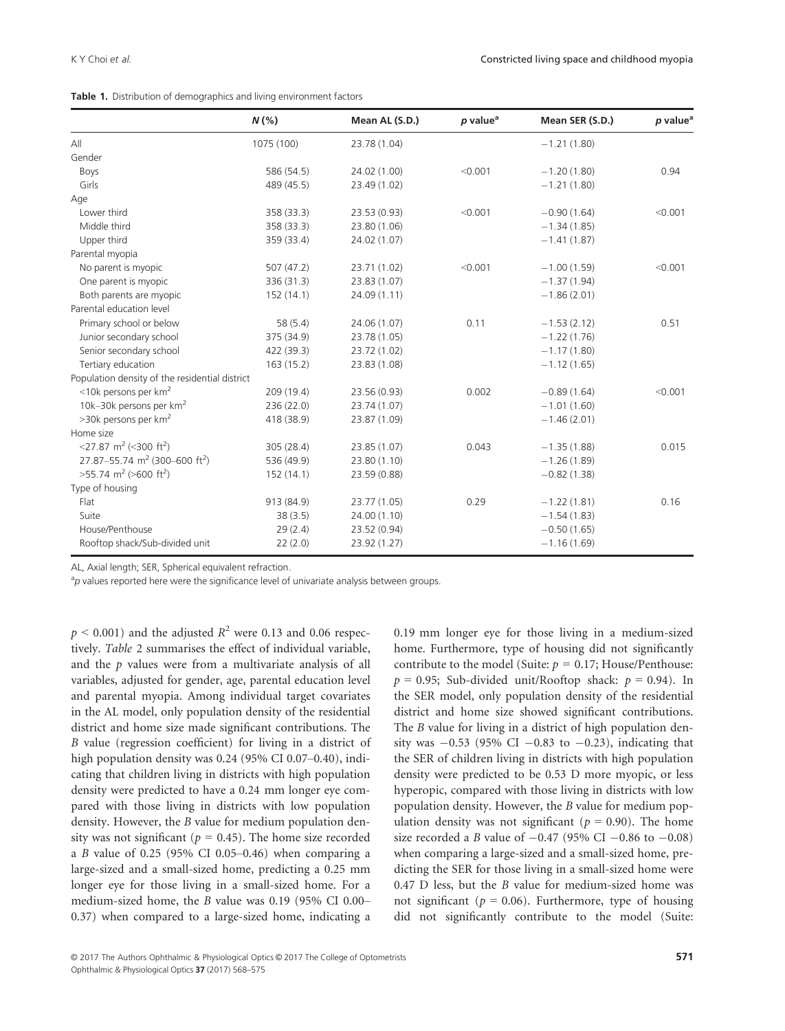| Table 1. Distribution of demographics and living environment factors |  |
|----------------------------------------------------------------------|--|
|----------------------------------------------------------------------|--|

|                                                       | $N(\%)$    | Mean AL (S.D.) | $p$ value <sup>a</sup> | Mean SER (S.D.) | p value <sup>a</sup> |
|-------------------------------------------------------|------------|----------------|------------------------|-----------------|----------------------|
| All                                                   | 1075 (100) | 23.78 (1.04)   |                        | $-1.21(1.80)$   |                      |
| Gender                                                |            |                |                        |                 |                      |
| Boys                                                  | 586 (54.5) | 24.02 (1.00)   | < 0.001                | $-1.20(1.80)$   | 0.94                 |
| Girls                                                 | 489 (45.5) | 23.49 (1.02)   |                        | $-1.21(1.80)$   |                      |
| Age                                                   |            |                |                        |                 |                      |
| Lower third                                           | 358 (33.3) | 23.53 (0.93)   | < 0.001                | $-0.90(1.64)$   | < 0.001              |
| Middle third                                          | 358 (33.3) | 23.80 (1.06)   |                        | $-1.34(1.85)$   |                      |
| Upper third                                           | 359 (33.4) | 24.02 (1.07)   |                        | $-1.41(1.87)$   |                      |
| Parental myopia                                       |            |                |                        |                 |                      |
| No parent is myopic                                   | 507(47.2)  | 23.71 (1.02)   | < 0.001                | $-1.00(1.59)$   | < 0.001              |
| One parent is myopic                                  | 336 (31.3) | 23.83 (1.07)   |                        | $-1.37(1.94)$   |                      |
| Both parents are myopic                               | 152 (14.1) | 24.09 (1.11)   |                        | $-1.86(2.01)$   |                      |
| Parental education level                              |            |                |                        |                 |                      |
| Primary school or below                               | 58(5.4)    | 24.06 (1.07)   | 0.11                   | $-1.53(2.12)$   | 0.51                 |
| Junior secondary school                               | 375 (34.9) | 23.78 (1.05)   |                        | $-1.22(1.76)$   |                      |
| Senior secondary school                               | 422 (39.3) | 23.72 (1.02)   |                        | $-1.17(1.80)$   |                      |
| Tertiary education                                    | 163(15.2)  | 23.83 (1.08)   |                        | $-1.12(1.65)$   |                      |
| Population density of the residential district        |            |                |                        |                 |                      |
| $<$ 10k persons per km <sup>2</sup>                   | 209 (19.4) | 23.56 (0.93)   | 0.002                  | $-0.89(1.64)$   | < 0.001              |
| 10k-30k persons per km <sup>2</sup>                   | 236 (22.0) | 23.74 (1.07)   |                        | $-1.01(1.60)$   |                      |
| $>$ 30k persons per km <sup>2</sup>                   | 418 (38.9) | 23.87 (1.09)   |                        | $-1.46(2.01)$   |                      |
| Home size                                             |            |                |                        |                 |                      |
| <27.87 m <sup>2</sup> (<300 ft <sup>2</sup> )         | 305 (28.4) | 23.85 (1.07)   | 0.043                  | $-1.35(1.88)$   | 0.015                |
| 27.87-55.74 m <sup>2</sup> (300-600 ft <sup>2</sup> ) | 536 (49.9) | 23.80 (1.10)   |                        | $-1.26(1.89)$   |                      |
| $>55.74$ m <sup>2</sup> ( $>600$ ft <sup>2</sup> )    | 152 (14.1) | 23.59 (0.88)   |                        | $-0.82(1.38)$   |                      |
| Type of housing                                       |            |                |                        |                 |                      |
| Flat                                                  | 913 (84.9) | 23.77 (1.05)   | 0.29                   | $-1.22(1.81)$   | 0.16                 |
| Suite                                                 | 38(3.5)    | 24.00 (1.10)   |                        | $-1.54(1.83)$   |                      |
| House/Penthouse                                       | 29(2.4)    | 23.52 (0.94)   |                        | $-0.50(1.65)$   |                      |
| Rooftop shack/Sub-divided unit                        | 22(2.0)    | 23.92 (1.27)   |                        | $-1.16(1.69)$   |                      |

AL, Axial length; SER, Spherical equivalent refraction.

<sup>a</sup>p values reported here were the significance level of univariate analysis between groups.

 $p < 0.001$ ) and the adjusted  $R^2$  were 0.13 and 0.06 respectively. Table 2 summarises the effect of individual variable, and the  $p$  values were from a multivariate analysis of all variables, adjusted for gender, age, parental education level and parental myopia. Among individual target covariates in the AL model, only population density of the residential district and home size made significant contributions. The B value (regression coefficient) for living in a district of high population density was 0.24 (95% CI 0.07–0.40), indicating that children living in districts with high population density were predicted to have a 0.24 mm longer eye compared with those living in districts with low population density. However, the B value for medium population density was not significant ( $p = 0.45$ ). The home size recorded a B value of 0.25 (95% CI 0.05–0.46) when comparing a large-sized and a small-sized home, predicting a 0.25 mm longer eye for those living in a small-sized home. For a medium-sized home, the B value was 0.19 (95% CI 0.00– 0.37) when compared to a large-sized home, indicating a 0.19 mm longer eye for those living in a medium-sized home. Furthermore, type of housing did not significantly contribute to the model (Suite:  $p = 0.17$ ; House/Penthouse:  $p = 0.95$ ; Sub-divided unit/Rooftop shack:  $p = 0.94$ ). In the SER model, only population density of the residential district and home size showed significant contributions. The B value for living in a district of high population density was  $-0.53$  (95% CI  $-0.83$  to  $-0.23$ ), indicating that the SER of children living in districts with high population density were predicted to be 0.53 D more myopic, or less hyperopic, compared with those living in districts with low population density. However, the B value for medium population density was not significant ( $p = 0.90$ ). The home size recorded a B value of  $-0.47$  (95% CI  $-0.86$  to  $-0.08$ ) when comparing a large-sized and a small-sized home, predicting the SER for those living in a small-sized home were 0.47 D less, but the B value for medium-sized home was not significant ( $p = 0.06$ ). Furthermore, type of housing did not significantly contribute to the model (Suite: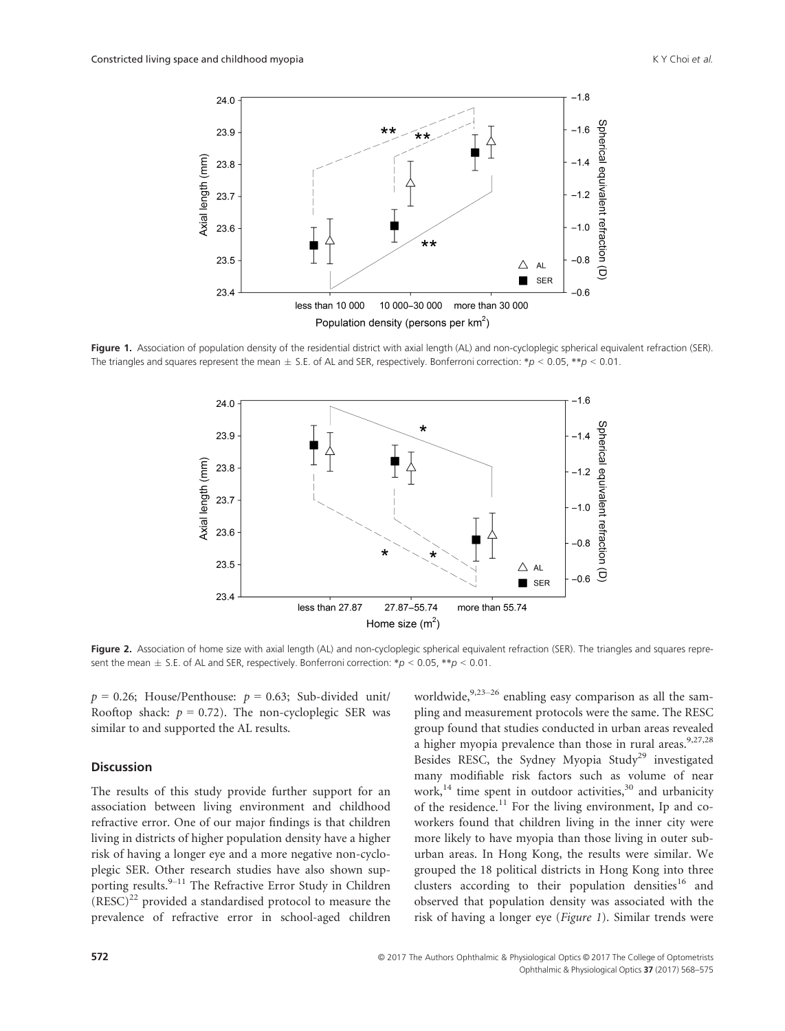

Figure 1. Association of population density of the residential district with axial length (AL) and non-cycloplegic spherical equivalent refraction (SER). The triangles and squares represent the mean  $\pm$  S.E. of AL and SER, respectively. Bonferroni correction: \*p < 0.05, \*\*p < 0.01.



Figure 2. Association of home size with axial length (AL) and non-cycloplegic spherical equivalent refraction (SER). The triangles and squares represent the mean  $\pm$  S.E. of AL and SER, respectively. Bonferroni correction: \*p < 0.05, \*\*p < 0.01.

 $p = 0.26$ ; House/Penthouse:  $p = 0.63$ ; Sub-divided unit/ Rooftop shack:  $p = 0.72$ ). The non-cycloplegic SER was similar to and supported the AL results.

## Discussion

The results of this study provide further support for an association between living environment and childhood refractive error. One of our major findings is that children living in districts of higher population density have a higher risk of having a longer eye and a more negative non-cycloplegic SER. Other research studies have also shown supporting results.<sup>9–11</sup> The Refractive Error Study in Children  $(RESC)^{22}$  provided a standardised protocol to measure the prevalence of refractive error in school-aged children

worldwide, $9,23-26$  enabling easy comparison as all the sampling and measurement protocols were the same. The RESC group found that studies conducted in urban areas revealed a higher myopia prevalence than those in rural areas.<sup>9,27,28</sup> Besides RESC, the Sydney Myopia Study<sup>29</sup> investigated many modifiable risk factors such as volume of near work,<sup>14</sup> time spent in outdoor activities,<sup>30</sup> and urbanicity of the residence.<sup>11</sup> For the living environment, Ip and coworkers found that children living in the inner city were more likely to have myopia than those living in outer suburban areas. In Hong Kong, the results were similar. We grouped the 18 political districts in Hong Kong into three clusters according to their population densities<sup>16</sup> and observed that population density was associated with the risk of having a longer eye (Figure 1). Similar trends were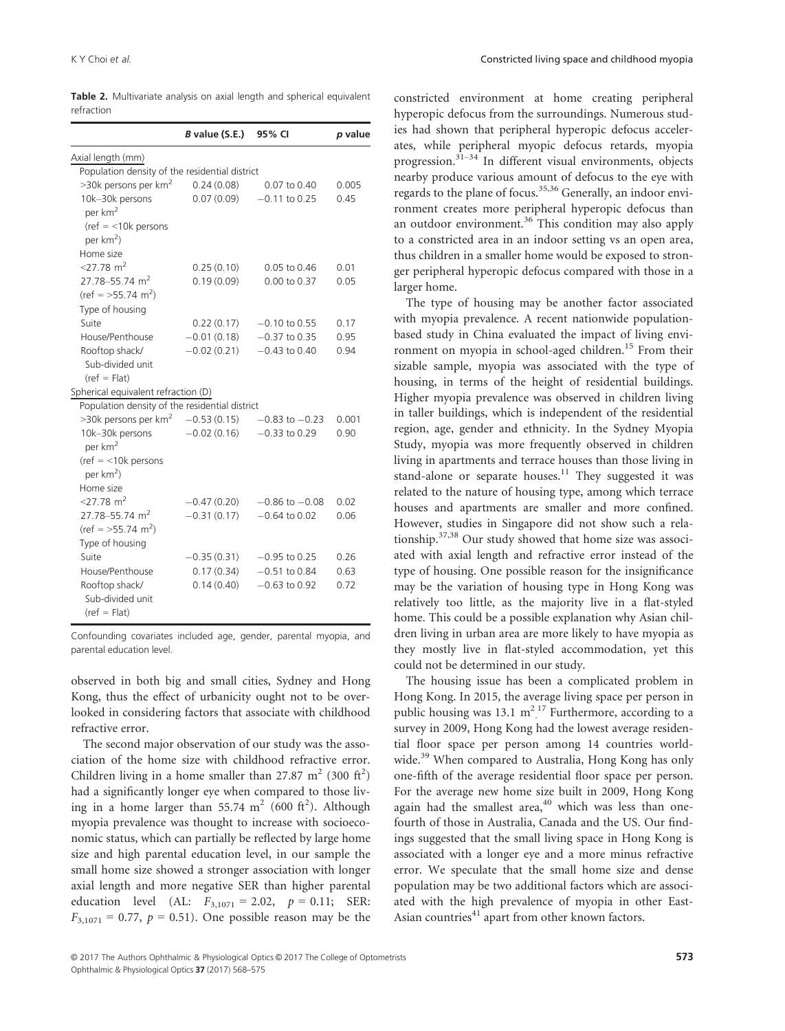Table 2. Multivariate analysis on axial length and spherical equivalent refraction

|                                                   | $B$ value (S.E.) | 95% CI             | p value |
|---------------------------------------------------|------------------|--------------------|---------|
| Axial length (mm)                                 |                  |                    |         |
| Population density of the residential district    |                  |                    |         |
| >30k persons per km <sup>2</sup>                  | 0.24(0.08)       | $0.07$ to $0.40$   | 0.005   |
| 10k-30k persons                                   | 0.07(0.09)       | $-0.11$ to 0.25    | 0.45    |
| per km <sup>2</sup>                               |                  |                    |         |
| $(ref = < 10k$ persons                            |                  |                    |         |
| per km <sup>2</sup> )                             |                  |                    |         |
| Home size                                         |                  |                    |         |
| $<$ 27.78 m <sup>2</sup>                          | 0.25(0.10)       | 0.05 to 0.46       | 0.01    |
| 27.78-55.74 m <sup>2</sup>                        | 0.19(0.09)       | 0.00 to 0.37       | 0.05    |
| $(\text{ref} = 55.74 \text{ m}^2)$                |                  |                    |         |
| Type of housing                                   |                  |                    |         |
| Suite                                             | 0.22(0.17)       | $-0.10$ to 0.55    | 0.17    |
| House/Penthouse                                   | $-0.01(0.18)$    | $-0.37$ to 0.35    | 0.95    |
| Rooftop shack/                                    | $-0.02(0.21)$    | $-0.43$ to 0.40    | 0.94    |
| Sub-divided unit                                  |                  |                    |         |
| $(ref = Flat)$                                    |                  |                    |         |
| Spherical equivalent refraction (D)               |                  |                    |         |
| Population density of the residential district    |                  |                    |         |
| $>$ 30k persons per km <sup>2</sup> $-0.53(0.15)$ |                  | $-0.83$ to $-0.23$ | 0.001   |
| 10k-30k persons                                   | $-0.02(0.16)$    | $-0.33$ to 0.29    | 0.90    |
| per km <sup>2</sup>                               |                  |                    |         |
| $(ref = < 10k$ persons                            |                  |                    |         |
| per $km^2$ )                                      |                  |                    |         |
| Home size                                         |                  |                    |         |
| $<$ 27.78 m <sup>2</sup>                          | $-0.47(0.20)$    | $-0.86$ to $-0.08$ | 0.02    |
| 27.78-55.74 m <sup>2</sup>                        | $-0.31(0.17)$    | $-0.64$ to 0.02    | 0.06    |
| $(ref = 55.74 \text{ m}^2)$                       |                  |                    |         |
| Type of housing                                   |                  |                    |         |
| Suite                                             | $-0.35(0.31)$    | $-0.95$ to 0.25    | 0.26    |
| House/Penthouse                                   | 0.17(0.34)       | $-0.51$ to 0.84    | 0.63    |
| Rooftop shack/                                    | 0.14(0.40)       | $-0.63$ to $0.92$  | 0.72    |
| Sub-divided unit                                  |                  |                    |         |
| $(ref = Flat)$                                    |                  |                    |         |

Confounding covariates included age, gender, parental myopia, and parental education level.

observed in both big and small cities, Sydney and Hong Kong, thus the effect of urbanicity ought not to be overlooked in considering factors that associate with childhood refractive error.

The second major observation of our study was the association of the home size with childhood refractive error. Children living in a home smaller than 27.87  $m^2$  (300 ft<sup>2</sup>) had a significantly longer eye when compared to those living in a home larger than 55.74  $m^2$  (600 ft<sup>2</sup>). Although myopia prevalence was thought to increase with socioeconomic status, which can partially be reflected by large home size and high parental education level, in our sample the small home size showed a stronger association with longer axial length and more negative SER than higher parental education level (AL:  $F_{3,1071} = 2.02$ ,  $p = 0.11$ ; SER:  $F_{3,1071} = 0.77$ ,  $p = 0.51$ ). One possible reason may be the

constricted environment at home creating peripheral hyperopic defocus from the surroundings. Numerous studies had shown that peripheral hyperopic defocus accelerates, while peripheral myopic defocus retards, myopia progression.31–<sup>34</sup> In different visual environments, objects nearby produce various amount of defocus to the eye with regards to the plane of focus.<sup>35,36</sup> Generally, an indoor environment creates more peripheral hyperopic defocus than an outdoor environment. $36$  This condition may also apply to a constricted area in an indoor setting vs an open area, thus children in a smaller home would be exposed to stronger peripheral hyperopic defocus compared with those in a larger home.

The type of housing may be another factor associated with myopia prevalence. A recent nationwide populationbased study in China evaluated the impact of living environment on myopia in school-aged children.<sup>15</sup> From their sizable sample, myopia was associated with the type of housing, in terms of the height of residential buildings. Higher myopia prevalence was observed in children living in taller buildings, which is independent of the residential region, age, gender and ethnicity. In the Sydney Myopia Study, myopia was more frequently observed in children living in apartments and terrace houses than those living in stand-alone or separate houses. $11$  They suggested it was related to the nature of housing type, among which terrace houses and apartments are smaller and more confined. However, studies in Singapore did not show such a relationship.37,38 Our study showed that home size was associated with axial length and refractive error instead of the type of housing. One possible reason for the insignificance may be the variation of housing type in Hong Kong was relatively too little, as the majority live in a flat-styled home. This could be a possible explanation why Asian children living in urban area are more likely to have myopia as they mostly live in flat-styled accommodation, yet this could not be determined in our study.

The housing issue has been a complicated problem in Hong Kong. In 2015, the average living space per person in public housing was 13.1  $m^2$ <sup>17</sup> Furthermore, according to a survey in 2009, Hong Kong had the lowest average residential floor space per person among 14 countries worldwide.<sup>39</sup> When compared to Australia, Hong Kong has only one-fifth of the average residential floor space per person. For the average new home size built in 2009, Hong Kong again had the smallest area, $40$  which was less than onefourth of those in Australia, Canada and the US. Our findings suggested that the small living space in Hong Kong is associated with a longer eye and a more minus refractive error. We speculate that the small home size and dense population may be two additional factors which are associated with the high prevalence of myopia in other East-Asian countries $41$  apart from other known factors.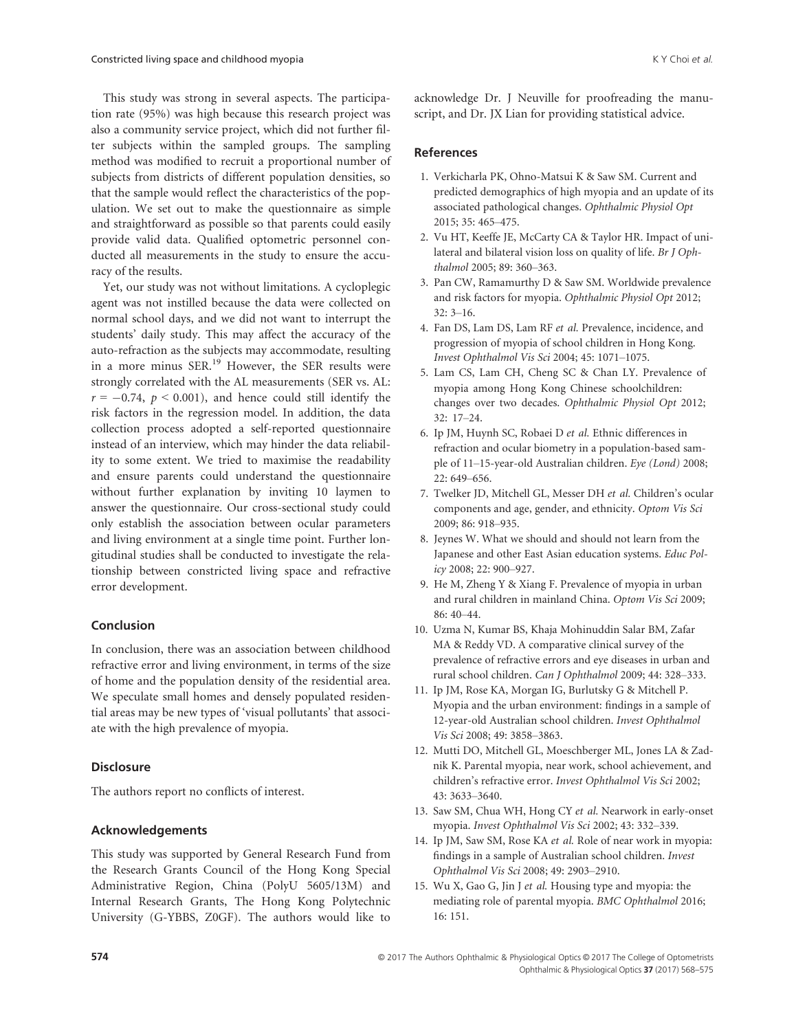This study was strong in several aspects. The participation rate (95%) was high because this research project was also a community service project, which did not further filter subjects within the sampled groups. The sampling method was modified to recruit a proportional number of subjects from districts of different population densities, so that the sample would reflect the characteristics of the population. We set out to make the questionnaire as simple and straightforward as possible so that parents could easily provide valid data. Qualified optometric personnel conducted all measurements in the study to ensure the accuracy of the results.

Yet, our study was not without limitations. A cycloplegic agent was not instilled because the data were collected on normal school days, and we did not want to interrupt the students' daily study. This may affect the accuracy of the auto-refraction as the subjects may accommodate, resulting in a more minus SER.<sup>19</sup> However, the SER results were strongly correlated with the AL measurements (SER vs. AL:  $r = -0.74$ ,  $p < 0.001$ ), and hence could still identify the risk factors in the regression model. In addition, the data collection process adopted a self-reported questionnaire instead of an interview, which may hinder the data reliability to some extent. We tried to maximise the readability and ensure parents could understand the questionnaire without further explanation by inviting 10 laymen to answer the questionnaire. Our cross-sectional study could only establish the association between ocular parameters and living environment at a single time point. Further longitudinal studies shall be conducted to investigate the relationship between constricted living space and refractive error development.

### Conclusion

In conclusion, there was an association between childhood refractive error and living environment, in terms of the size of home and the population density of the residential area. We speculate small homes and densely populated residential areas may be new types of 'visual pollutants' that associate with the high prevalence of myopia.

## **Disclosure**

The authors report no conflicts of interest.

### Acknowledgements

This study was supported by General Research Fund from the Research Grants Council of the Hong Kong Special Administrative Region, China (PolyU 5605/13M) and Internal Research Grants, The Hong Kong Polytechnic University (G-YBBS, Z0GF). The authors would like to acknowledge Dr. J Neuville for proofreading the manuscript, and Dr. JX Lian for providing statistical advice.

# References

- 1. Verkicharla PK, Ohno-Matsui K & Saw SM. Current and predicted demographics of high myopia and an update of its associated pathological changes. Ophthalmic Physiol Opt 2015; 35: 465–475.
- 2. Vu HT, Keeffe JE, McCarty CA & Taylor HR. Impact of unilateral and bilateral vision loss on quality of life. Br J Ophthalmol 2005; 89: 360–363.
- 3. Pan CW, Ramamurthy D & Saw SM. Worldwide prevalence and risk factors for myopia. Ophthalmic Physiol Opt 2012; 32: 3–16.
- 4. Fan DS, Lam DS, Lam RF et al. Prevalence, incidence, and progression of myopia of school children in Hong Kong. Invest Ophthalmol Vis Sci 2004; 45: 1071–1075.
- 5. Lam CS, Lam CH, Cheng SC & Chan LY. Prevalence of myopia among Hong Kong Chinese schoolchildren: changes over two decades. Ophthalmic Physiol Opt 2012; 32: 17–24.
- 6. Ip JM, Huynh SC, Robaei D et al. Ethnic differences in refraction and ocular biometry in a population-based sample of 11–15-year-old Australian children. Eye (Lond) 2008; 22: 649–656.
- 7. Twelker JD, Mitchell GL, Messer DH et al. Children's ocular components and age, gender, and ethnicity. Optom Vis Sci 2009; 86: 918–935.
- 8. Jeynes W. What we should and should not learn from the Japanese and other East Asian education systems. Educ Policy 2008; 22: 900–927.
- 9. He M, Zheng Y & Xiang F. Prevalence of myopia in urban and rural children in mainland China. Optom Vis Sci 2009; 86: 40–44.
- 10. Uzma N, Kumar BS, Khaja Mohinuddin Salar BM, Zafar MA & Reddy VD. A comparative clinical survey of the prevalence of refractive errors and eye diseases in urban and rural school children. Can J Ophthalmol 2009; 44: 328–333.
- 11. Ip JM, Rose KA, Morgan IG, Burlutsky G & Mitchell P. Myopia and the urban environment: findings in a sample of 12-year-old Australian school children. Invest Ophthalmol Vis Sci 2008; 49: 3858–3863.
- 12. Mutti DO, Mitchell GL, Moeschberger ML, Jones LA & Zadnik K. Parental myopia, near work, school achievement, and children's refractive error. Invest Ophthalmol Vis Sci 2002; 43: 3633–3640.
- 13. Saw SM, Chua WH, Hong CY et al. Nearwork in early-onset myopia. Invest Ophthalmol Vis Sci 2002; 43: 332–339.
- 14. Ip JM, Saw SM, Rose KA et al. Role of near work in myopia: findings in a sample of Australian school children. Invest Ophthalmol Vis Sci 2008; 49: 2903–2910.
- 15. Wu X, Gao G, Jin J et al. Housing type and myopia: the mediating role of parental myopia. BMC Ophthalmol 2016; 16: 151.